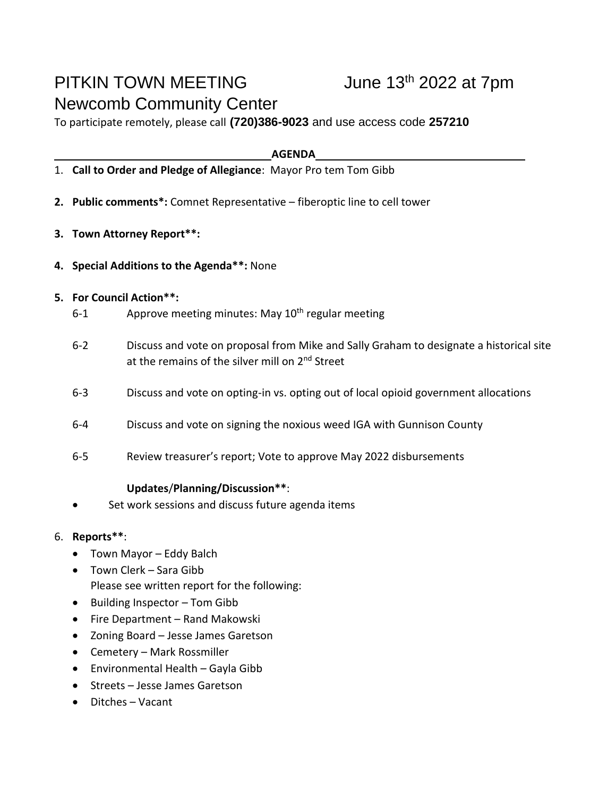# PITKIN TOWN MEETING June 13<sup>th</sup> 2022 at 7pm Newcomb Community Center

To participate remotely, please call **(720)386-9023** and use access code **257210**

#### **AGENDA**

- 1. **Call to Order and Pledge of Allegiance**: Mayor Pro tem Tom Gibb
- **2. Public comments\*:** Comnet Representative fiberoptic line to cell tower
- **3. Town Attorney Report\*\*:**
- **4. Special Additions to the Agenda\*\*:** None

### **5. For Council Action\*\*:**

- 6-1 Approve meeting minutes: May 10<sup>th</sup> regular meeting
- 6-2 Discuss and vote on proposal from Mike and Sally Graham to designate a historical site at the remains of the silver mill on 2<sup>nd</sup> Street
- 6-3 Discuss and vote on opting-in vs. opting out of local opioid government allocations
- 6-4 Discuss and vote on signing the noxious weed IGA with Gunnison County
- 6-5 Review treasurer's report; Vote to approve May 2022 disbursements

### **Updates**/**Planning/Discussion\*\***:

Set work sessions and discuss future agenda items

## 6. **Reports\*\***:

- Town Mayor Eddy Balch
- Town Clerk Sara Gibb Please see written report for the following:
- Building Inspector Tom Gibb
- Fire Department Rand Makowski
- Zoning Board Jesse James Garetson
- Cemetery Mark Rossmiller
- Environmental Health Gayla Gibb
- Streets Jesse James Garetson
- Ditches Vacant